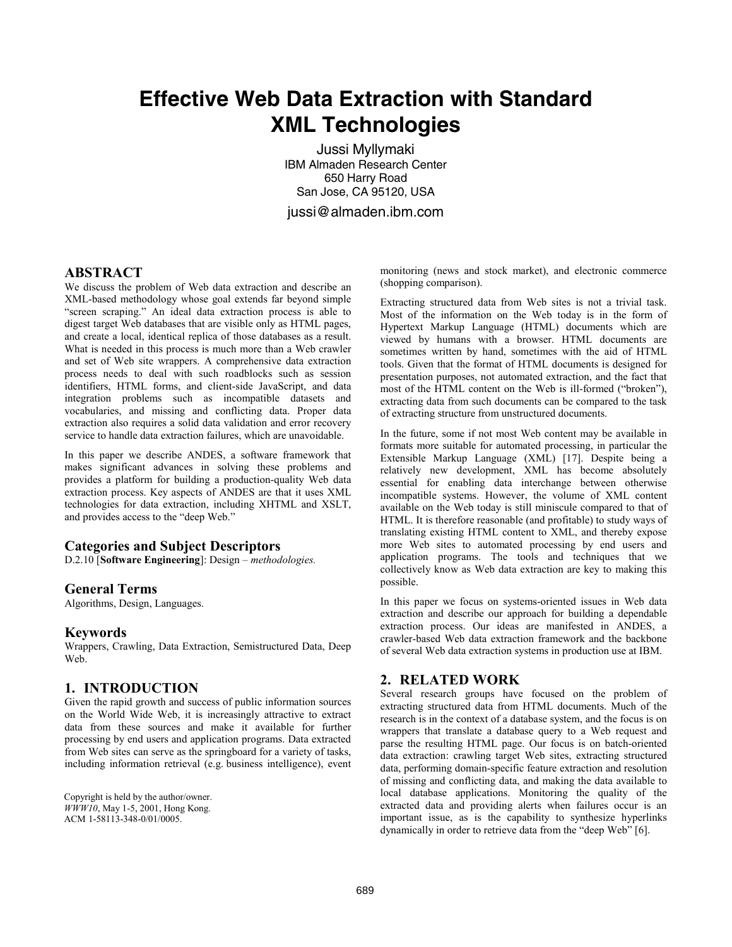# **Effective Web Data Extraction with Standard XML Technologies**

Jussi Myllymaki IBM Almaden Research Center 650 Harry Road San Jose, CA 95120, USA jussi@almaden.ibm.com

## **ABSTRACT**

We discuss the problem of Web data extraction and describe an XML-based methodology whose goal extends far beyond simple "screen scraping." An ideal data extraction process is able to digest target Web databases that are visible only as HTML pages, and create a local, identical replica of those databases as a result. What is needed in this process is much more than a Web crawler and set of Web site wrappers. A comprehensive data extraction process needs to deal with such roadblocks such as session identifiers, HTML forms, and client-side JavaScript, and data integration problems such as incompatible datasets and vocabularies, and missing and conflicting data. Proper data extraction also requires a solid data validation and error recovery service to handle data extraction failures, which are unavoidable.

In this paper we describe ANDES, a software framework that makes significant advances in solving these problems and provides a platform for building a production-quality Web data extraction process. Key aspects of ANDES are that it uses XML technologies for data extraction, including XHTML and XSLT, and provides access to the "deep Web."

## **Categories and Subject Descriptors**

D.2.10 [**Software Engineering**]: Design – *methodologies.* 

## **General Terms**

Algorithms, Design, Languages.

## **Keywords**

Wrappers, Crawling, Data Extraction, Semistructured Data, Deep Web.

## **1. INTRODUCTION**

Given the rapid growth and success of public information sources on the World Wide Web, it is increasingly attractive to extract data from these sources and make it available for further processing by end users and application programs. Data extracted from Web sites can serve as the springboard for a variety of tasks, including information retrieval (e.g. business intelligence), event

Copyright is held by the author/owner. *WWW10*, May 1-5, 2001, Hong Kong. ACM 1-58113-348-0/01/0005.

monitoring (news and stock market), and electronic commerce (shopping comparison).

Extracting structured data from Web sites is not a trivial task. Most of the information on the Web today is in the form of Hypertext Markup Language (HTML) documents which are viewed by humans with a browser. HTML documents are sometimes written by hand, sometimes with the aid of HTML tools. Given that the format of HTML documents is designed for presentation purposes, not automated extraction, and the fact that most of the HTML content on the Web is ill-formed ("broken"), extracting data from such documents can be compared to the task of extracting structure from unstructured documents.

In the future, some if not most Web content may be available in formats more suitable for automated processing, in particular the Extensible Markup Language (XML) [17]. Despite being a relatively new development, XML has become absolutely essential for enabling data interchange between otherwise incompatible systems. However, the volume of XML content available on the Web today is still miniscule compared to that of HTML. It is therefore reasonable (and profitable) to study ways of translating existing HTML content to XML, and thereby expose more Web sites to automated processing by end users and application programs. The tools and techniques that we collectively know as Web data extraction are key to making this possible.

In this paper we focus on systems-oriented issues in Web data extraction and describe our approach for building a dependable extraction process. Our ideas are manifested in ANDES, a crawler-based Web data extraction framework and the backbone of several Web data extraction systems in production use at IBM.

## **2. RELATED WORK**

Several research groups have focused on the problem of extracting structured data from HTML documents. Much of the research is in the context of a database system, and the focus is on wrappers that translate a database query to a Web request and parse the resulting HTML page. Our focus is on batch-oriented data extraction: crawling target Web sites, extracting structured data, performing domain-specific feature extraction and resolution of missing and conflicting data, and making the data available to local database applications. Monitoring the quality of the extracted data and providing alerts when failures occur is an important issue, as is the capability to synthesize hyperlinks dynamically in order to retrieve data from the "deep Web" [6].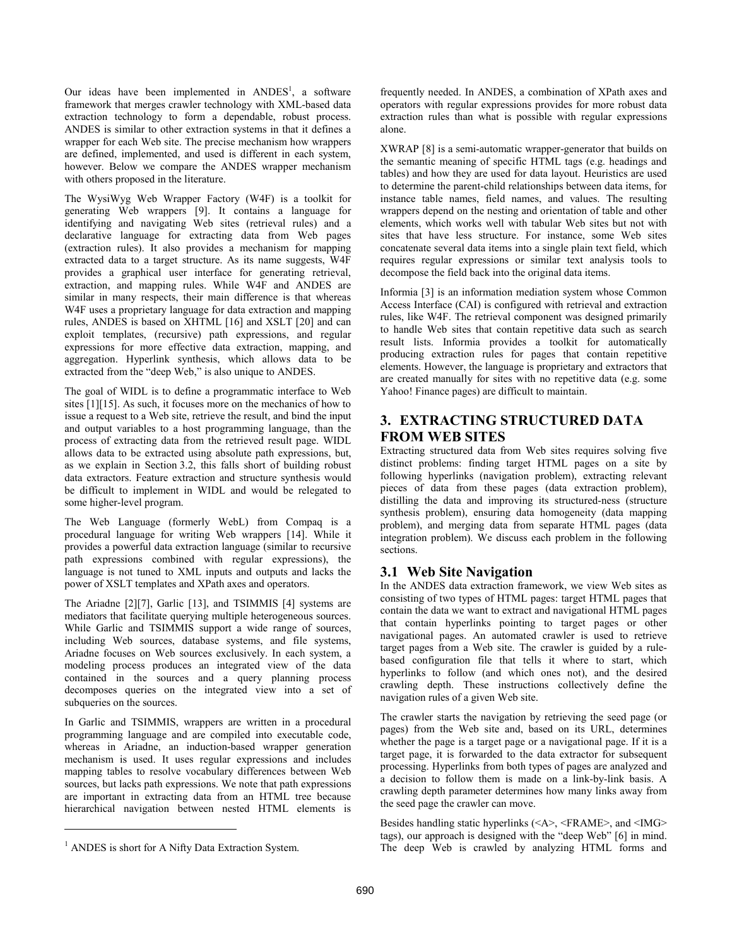Our ideas have been implemented in  $ANDES<sup>1</sup>$ , a software framework that merges crawler technology with XML-based data extraction technology to form a dependable, robust process. ANDES is similar to other extraction systems in that it defines a wrapper for each Web site. The precise mechanism how wrappers are defined, implemented, and used is different in each system, however. Below we compare the ANDES wrapper mechanism with others proposed in the literature.

The WysiWyg Web Wrapper Factory (W4F) is a toolkit for generating Web wrappers [9]. It contains a language for identifying and navigating Web sites (retrieval rules) and a declarative language for extracting data from Web pages (extraction rules). It also provides a mechanism for mapping extracted data to a target structure. As its name suggests, W4F provides a graphical user interface for generating retrieval, extraction, and mapping rules. While W4F and ANDES are similar in many respects, their main difference is that whereas W<sub>4F</sub> uses a proprietary language for data extraction and mapping rules, ANDES is based on XHTML [16] and XSLT [20] and can exploit templates, (recursive) path expressions, and regular expressions for more effective data extraction, mapping, and aggregation. Hyperlink synthesis, which allows data to be extracted from the "deep Web," is also unique to ANDES.

The goal of WIDL is to define a programmatic interface to Web sites [1][15]. As such, it focuses more on the mechanics of how to issue a request to a Web site, retrieve the result, and bind the input and output variables to a host programming language, than the process of extracting data from the retrieved result page. WIDL allows data to be extracted using absolute path expressions, but, as we explain in Section 3.2, this falls short of building robust data extractors. Feature extraction and structure synthesis would be difficult to implement in WIDL and would be relegated to some higher-level program.

The Web Language (formerly WebL) from Compaq is a procedural language for writing Web wrappers [14]. While it provides a powerful data extraction language (similar to recursive path expressions combined with regular expressions), the language is not tuned to XML inputs and outputs and lacks the power of XSLT templates and XPath axes and operators.

The Ariadne [2][7], Garlic [13], and TSIMMIS [4] systems are mediators that facilitate querying multiple heterogeneous sources. While Garlic and TSIMMIS support a wide range of sources, including Web sources, database systems, and file systems, Ariadne focuses on Web sources exclusively. In each system, a modeling process produces an integrated view of the data contained in the sources and a query planning process decomposes queries on the integrated view into a set of subqueries on the sources.

In Garlic and TSIMMIS, wrappers are written in a procedural programming language and are compiled into executable code, whereas in Ariadne, an induction-based wrapper generation mechanism is used. It uses regular expressions and includes mapping tables to resolve vocabulary differences between Web sources, but lacks path expressions. We note that path expressions are important in extracting data from an HTML tree because hierarchical navigation between nested HTML elements is

1

frequently needed. In ANDES, a combination of XPath axes and operators with regular expressions provides for more robust data extraction rules than what is possible with regular expressions alone.

XWRAP [8] is a semi-automatic wrapper-generator that builds on the semantic meaning of specific HTML tags (e.g. headings and tables) and how they are used for data layout. Heuristics are used to determine the parent-child relationships between data items, for instance table names, field names, and values. The resulting wrappers depend on the nesting and orientation of table and other elements, which works well with tabular Web sites but not with sites that have less structure. For instance, some Web sites concatenate several data items into a single plain text field, which requires regular expressions or similar text analysis tools to decompose the field back into the original data items.

Informia [3] is an information mediation system whose Common Access Interface (CAI) is configured with retrieval and extraction rules, like W4F. The retrieval component was designed primarily to handle Web sites that contain repetitive data such as search result lists. Informia provides a toolkit for automatically producing extraction rules for pages that contain repetitive elements. However, the language is proprietary and extractors that are created manually for sites with no repetitive data (e.g. some Yahoo! Finance pages) are difficult to maintain.

# **3. EXTRACTING STRUCTURED DATA FROM WEB SITES**

Extracting structured data from Web sites requires solving five distinct problems: finding target HTML pages on a site by following hyperlinks (navigation problem), extracting relevant pieces of data from these pages (data extraction problem), distilling the data and improving its structured-ness (structure synthesis problem), ensuring data homogeneity (data mapping problem), and merging data from separate HTML pages (data integration problem). We discuss each problem in the following sections.

## **3.1 Web Site Navigation**

In the ANDES data extraction framework, we view Web sites as consisting of two types of HTML pages: target HTML pages that contain the data we want to extract and navigational HTML pages that contain hyperlinks pointing to target pages or other navigational pages. An automated crawler is used to retrieve target pages from a Web site. The crawler is guided by a rulebased configuration file that tells it where to start, which hyperlinks to follow (and which ones not), and the desired crawling depth. These instructions collectively define the navigation rules of a given Web site.

The crawler starts the navigation by retrieving the seed page (or pages) from the Web site and, based on its URL, determines whether the page is a target page or a navigational page. If it is a target page, it is forwarded to the data extractor for subsequent processing. Hyperlinks from both types of pages are analyzed and a decision to follow them is made on a link-by-link basis. A crawling depth parameter determines how many links away from the seed page the crawler can move.

Besides handling static hyperlinks (<A>, <FRAME>, and <IMG> tags), our approach is designed with the "deep Web" [6] in mind. The deep Web is crawled by analyzing HTML forms and

<sup>&</sup>lt;sup>1</sup> ANDES is short for A Nifty Data Extraction System.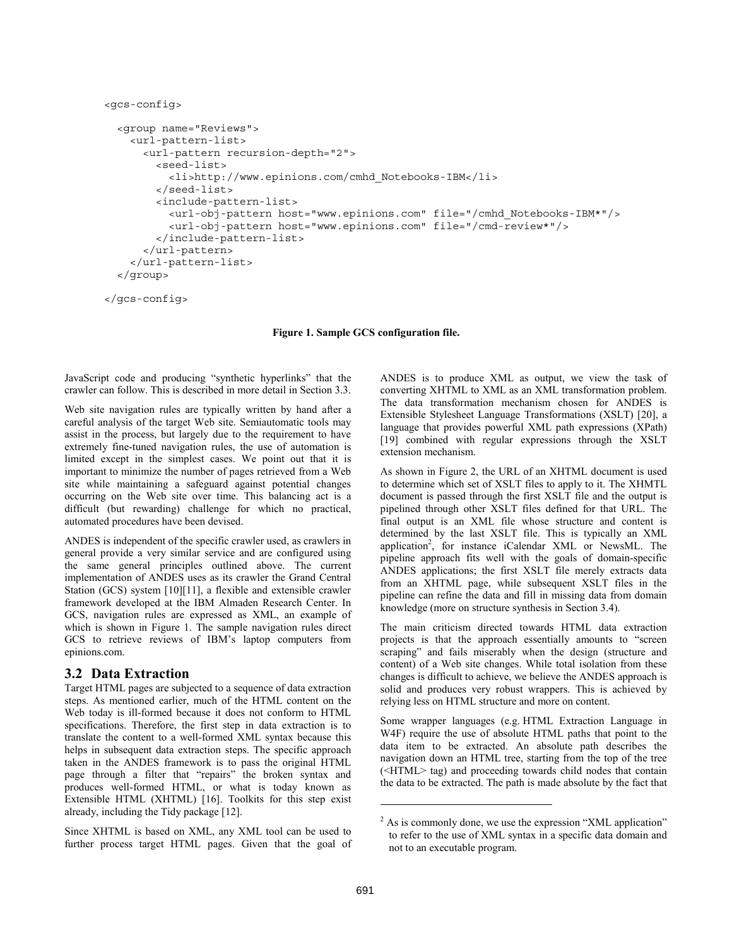```
<gcs-config> 
<group name="Reviews"> 
  <url-pattern-list> 
    <url-pattern recursion-depth="2"> 
      <seed-list> 
        <li>http://www.epinions.com/cmhd_Notebooks-IBM</li> 
      </seed-list> 
      <include-pattern-list> 
        <url-obj-pattern host="www.epinions.com" file="/cmhd_Notebooks-IBM*"/> 
        <url-obj-pattern host="www.epinions.com" file="/cmd-review*"/> 
      </include-pattern-list> 
    </url-pattern> 
  </url-pattern-list> 
</group>
```
</gcs-config>

#### **Figure 1. Sample GCS configuration file.**

JavaScript code and producing "synthetic hyperlinks" that the crawler can follow. This is described in more detail in Section 3.3.

Web site navigation rules are typically written by hand after a careful analysis of the target Web site. Semiautomatic tools may assist in the process, but largely due to the requirement to have extremely fine-tuned navigation rules, the use of automation is limited except in the simplest cases. We point out that it is important to minimize the number of pages retrieved from a Web site while maintaining a safeguard against potential changes occurring on the Web site over time. This balancing act is a difficult (but rewarding) challenge for which no practical, automated procedures have been devised.

ANDES is independent of the specific crawler used, as crawlers in general provide a very similar service and are configured using the same general principles outlined above. The current implementation of ANDES uses as its crawler the Grand Central Station (GCS) system [10][11], a flexible and extensible crawler framework developed at the IBM Almaden Research Center. In GCS, navigation rules are expressed as XML, an example of which is shown in Figure 1. The sample navigation rules direct GCS to retrieve reviews of IBM's laptop computers from epinions.com.

#### **3.2 Data Extraction**

Target HTML pages are subjected to a sequence of data extraction steps. As mentioned earlier, much of the HTML content on the Web today is ill-formed because it does not conform to HTML specifications. Therefore, the first step in data extraction is to translate the content to a well-formed XML syntax because this helps in subsequent data extraction steps. The specific approach taken in the ANDES framework is to pass the original HTML page through a filter that "repairs" the broken syntax and produces well-formed HTML, or what is today known as Extensible HTML (XHTML) [16]. Toolkits for this step exist already, including the Tidy package [12].

Since XHTML is based on XML, any XML tool can be used to further process target HTML pages. Given that the goal of

ANDES is to produce XML as output, we view the task of converting XHTML to XML as an XML transformation problem. The data transformation mechanism chosen for ANDES is Extensible Stylesheet Language Transformations (XSLT) [20], a language that provides powerful XML path expressions (XPath) [19] combined with regular expressions through the XSLT extension mechanism.

As shown in Figure 2, the URL of an XHTML document is used to determine which set of XSLT files to apply to it. The XHMTL document is passed through the first XSLT file and the output is pipelined through other XSLT files defined for that URL. The final output is an XML file whose structure and content is determined by the last XSLT file. This is typically an XML application<sup>2</sup>, for instance iCalendar XML or NewsML. The pipeline approach fits well with the goals of domain-specific ANDES applications; the first XSLT file merely extracts data from an XHTML page, while subsequent XSLT files in the pipeline can refine the data and fill in missing data from domain knowledge (more on structure synthesis in Section 3.4).

The main criticism directed towards HTML data extraction projects is that the approach essentially amounts to "screen scraping" and fails miserably when the design (structure and content) of a Web site changes. While total isolation from these changes is difficult to achieve, we believe the ANDES approach is solid and produces very robust wrappers. This is achieved by relying less on HTML structure and more on content.

Some wrapper languages (e.g. HTML Extraction Language in W4F) require the use of absolute HTML paths that point to the data item to be extracted. An absolute path describes the navigation down an HTML tree, starting from the top of the tree (<HTML> tag) and proceeding towards child nodes that contain the data to be extracted. The path is made absolute by the fact that

 $\overline{a}$ 

 $2^2$  As is commonly done, we use the expression "XML application" to refer to the use of XML syntax in a specific data domain and not to an executable program.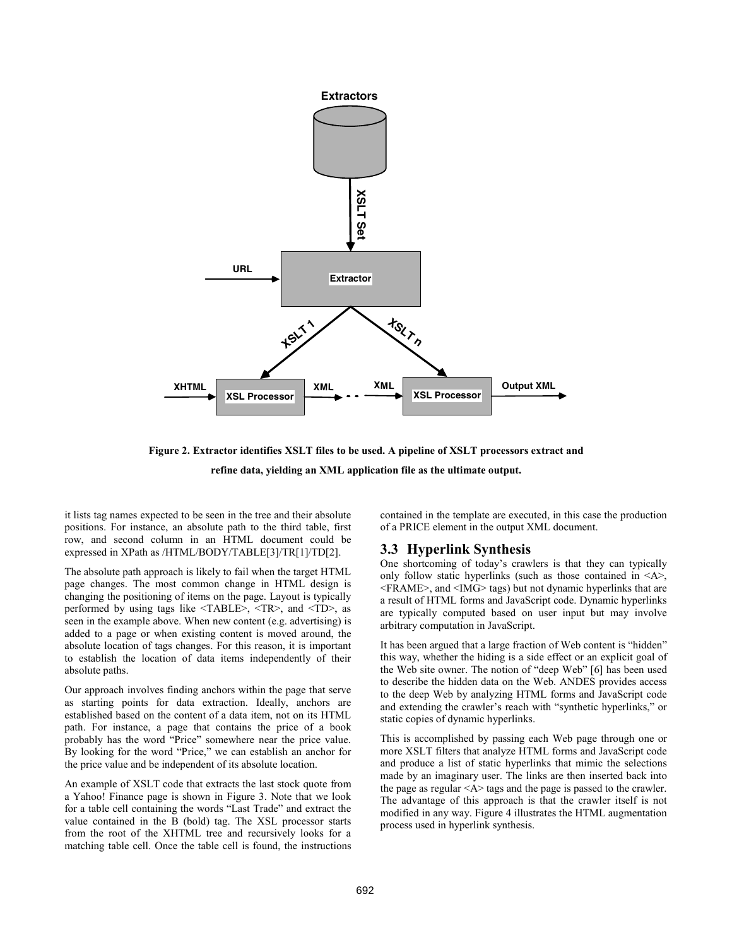

**Figure 2. Extractor identifies XSLT files to be used. A pipeline of XSLT processors extract and** 

**refine data, yielding an XML application file as the ultimate output.**

it lists tag names expected to be seen in the tree and their absolute positions. For instance, an absolute path to the third table, first row, and second column in an HTML document could be expressed in XPath as /HTML/BODY/TABLE[3]/TR[1]/TD[2].

The absolute path approach is likely to fail when the target HTML page changes. The most common change in HTML design is changing the positioning of items on the page. Layout is typically performed by using tags like <TABLE>, <TR>, and <TD>, as seen in the example above. When new content (e.g. advertising) is added to a page or when existing content is moved around, the absolute location of tags changes. For this reason, it is important to establish the location of data items independently of their absolute paths.

Our approach involves finding anchors within the page that serve as starting points for data extraction. Ideally, anchors are established based on the content of a data item, not on its HTML path. For instance, a page that contains the price of a book probably has the word "Price" somewhere near the price value. By looking for the word "Price," we can establish an anchor for the price value and be independent of its absolute location.

An example of XSLT code that extracts the last stock quote from a Yahoo! Finance page is shown in Figure 3. Note that we look for a table cell containing the words "Last Trade" and extract the value contained in the B (bold) tag. The XSL processor starts from the root of the XHTML tree and recursively looks for a matching table cell. Once the table cell is found, the instructions contained in the template are executed, in this case the production of a PRICE element in the output XML document.

#### **3.3 Hyperlink Synthesis**

One shortcoming of today's crawlers is that they can typically only follow static hyperlinks (such as those contained in  $\langle A \rangle$ , <FRAME>, and <IMG> tags) but not dynamic hyperlinks that are a result of HTML forms and JavaScript code. Dynamic hyperlinks are typically computed based on user input but may involve arbitrary computation in JavaScript.

It has been argued that a large fraction of Web content is "hidden" this way, whether the hiding is a side effect or an explicit goal of the Web site owner. The notion of "deep Web" [6] has been used to describe the hidden data on the Web. ANDES provides access to the deep Web by analyzing HTML forms and JavaScript code and extending the crawler's reach with "synthetic hyperlinks," or static copies of dynamic hyperlinks.

This is accomplished by passing each Web page through one or more XSLT filters that analyze HTML forms and JavaScript code and produce a list of static hyperlinks that mimic the selections made by an imaginary user. The links are then inserted back into the page as regular <A> tags and the page is passed to the crawler. The advantage of this approach is that the crawler itself is not modified in any way. Figure 4 illustrates the HTML augmentation process used in hyperlink synthesis.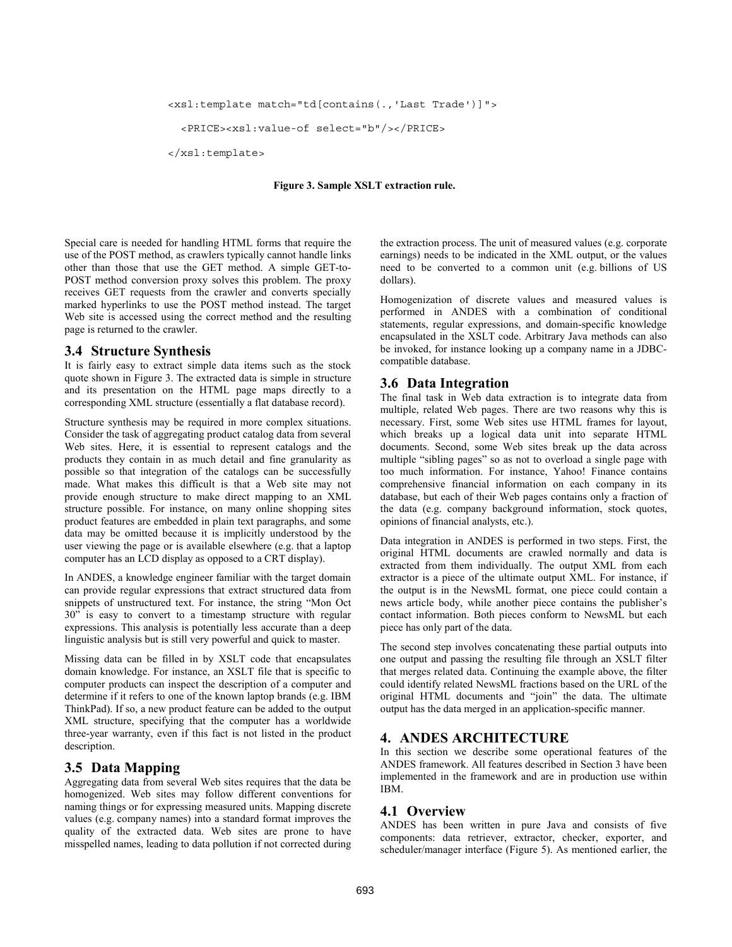<xsl:template match="td[contains(.,'Last Trade')]">

<PRICE><xsl:value-of select="b"/></PRICE>

</xsl:template>

#### **Figure 3. Sample XSLT extraction rule.**

Special care is needed for handling HTML forms that require the use of the POST method, as crawlers typically cannot handle links other than those that use the GET method. A simple GET-to-POST method conversion proxy solves this problem. The proxy receives GET requests from the crawler and converts specially marked hyperlinks to use the POST method instead. The target Web site is accessed using the correct method and the resulting page is returned to the crawler.

#### **3.4 Structure Synthesis**

It is fairly easy to extract simple data items such as the stock quote shown in Figure 3. The extracted data is simple in structure and its presentation on the HTML page maps directly to a corresponding XML structure (essentially a flat database record).

Structure synthesis may be required in more complex situations. Consider the task of aggregating product catalog data from several Web sites. Here, it is essential to represent catalogs and the products they contain in as much detail and fine granularity as possible so that integration of the catalogs can be successfully made. What makes this difficult is that a Web site may not provide enough structure to make direct mapping to an XML structure possible. For instance, on many online shopping sites product features are embedded in plain text paragraphs, and some data may be omitted because it is implicitly understood by the user viewing the page or is available elsewhere (e.g. that a laptop computer has an LCD display as opposed to a CRT display).

In ANDES, a knowledge engineer familiar with the target domain can provide regular expressions that extract structured data from snippets of unstructured text. For instance, the string "Mon Oct 30" is easy to convert to a timestamp structure with regular expressions. This analysis is potentially less accurate than a deep linguistic analysis but is still very powerful and quick to master.

Missing data can be filled in by XSLT code that encapsulates domain knowledge. For instance, an XSLT file that is specific to computer products can inspect the description of a computer and determine if it refers to one of the known laptop brands (e.g. IBM ThinkPad). If so, a new product feature can be added to the output XML structure, specifying that the computer has a worldwide three-year warranty, even if this fact is not listed in the product description.

## **3.5 Data Mapping**

Aggregating data from several Web sites requires that the data be homogenized. Web sites may follow different conventions for naming things or for expressing measured units. Mapping discrete values (e.g. company names) into a standard format improves the quality of the extracted data. Web sites are prone to have misspelled names, leading to data pollution if not corrected during the extraction process. The unit of measured values (e.g. corporate earnings) needs to be indicated in the XML output, or the values need to be converted to a common unit (e.g. billions of US dollars).

Homogenization of discrete values and measured values is performed in ANDES with a combination of conditional statements, regular expressions, and domain-specific knowledge encapsulated in the XSLT code. Arbitrary Java methods can also be invoked, for instance looking up a company name in a JDBCcompatible database.

#### **3.6 Data Integration**

The final task in Web data extraction is to integrate data from multiple, related Web pages. There are two reasons why this is necessary. First, some Web sites use HTML frames for layout, which breaks up a logical data unit into separate HTML documents. Second, some Web sites break up the data across multiple "sibling pages" so as not to overload a single page with too much information. For instance, Yahoo! Finance contains comprehensive financial information on each company in its database, but each of their Web pages contains only a fraction of the data (e.g. company background information, stock quotes, opinions of financial analysts, etc.).

Data integration in ANDES is performed in two steps. First, the original HTML documents are crawled normally and data is extracted from them individually. The output XML from each extractor is a piece of the ultimate output XML. For instance, if the output is in the NewsML format, one piece could contain a news article body, while another piece contains the publisher's contact information. Both pieces conform to NewsML but each piece has only part of the data.

The second step involves concatenating these partial outputs into one output and passing the resulting file through an XSLT filter that merges related data. Continuing the example above, the filter could identify related NewsML fractions based on the URL of the original HTML documents and "join" the data. The ultimate output has the data merged in an application-specific manner.

## **4. ANDES ARCHITECTURE**

In this section we describe some operational features of the ANDES framework. All features described in Section 3 have been implemented in the framework and are in production use within IBM.

## **4.1 Overview**

ANDES has been written in pure Java and consists of five components: data retriever, extractor, checker, exporter, and scheduler/manager interface (Figure 5). As mentioned earlier, the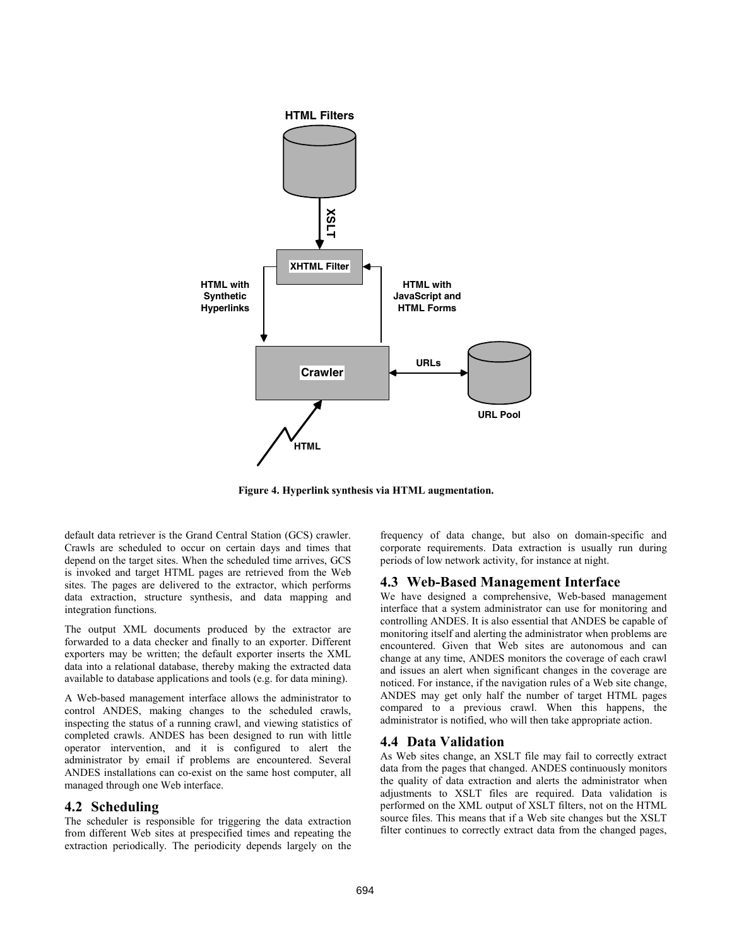

**Figure 4. Hyperlink synthesis via HTML augmentation.** 

default data retriever is the Grand Central Station (GCS) crawler. Crawls are scheduled to occur on certain days and times that depend on the target sites. When the scheduled time arrives, GCS is invoked and target HTML pages are retrieved from the Web sites. The pages are delivered to the extractor, which performs data extraction, structure synthesis, and data mapping and integration functions.

The output XML documents produced by the extractor are forwarded to a data checker and finally to an exporter. Different exporters may be written; the default exporter inserts the XML data into a relational database, thereby making the extracted data available to database applications and tools (e.g. for data mining).

A Web-based management interface allows the administrator to control ANDES, making changes to the scheduled crawls, inspecting the status of a running crawl, and viewing statistics of completed crawls. ANDES has been designed to run with little operator intervention, and it is configured to alert the administrator by email if problems are encountered. Several ANDES installations can co-exist on the same host computer, all managed through one Web interface.

## **4.2 Scheduling**

The scheduler is responsible for triggering the data extraction from different Web sites at prespecified times and repeating the extraction periodically. The periodicity depends largely on the

frequency of data change, but also on domain-specific and corporate requirements. Data extraction is usually run during periods of low network activity, for instance at night.

# **4.3 Web-Based Management Interface**

We have designed a comprehensive, Web-based management interface that a system administrator can use for monitoring and controlling ANDES. It is also essential that ANDES be capable of monitoring itself and alerting the administrator when problems are encountered. Given that Web sites are autonomous and can change at any time, ANDES monitors the coverage of each crawl and issues an alert when significant changes in the coverage are noticed. For instance, if the navigation rules of a Web site change, ANDES may get only half the number of target HTML pages compared to a previous crawl. When this happens, the administrator is notified, who will then take appropriate action.

## **4.4 Data Validation**

As Web sites change, an XSLT file may fail to correctly extract data from the pages that changed. ANDES continuously monitors the quality of data extraction and alerts the administrator when adjustments to XSLT files are required. Data validation is performed on the XML output of XSLT filters, not on the HTML source files. This means that if a Web site changes but the XSLT filter continues to correctly extract data from the changed pages,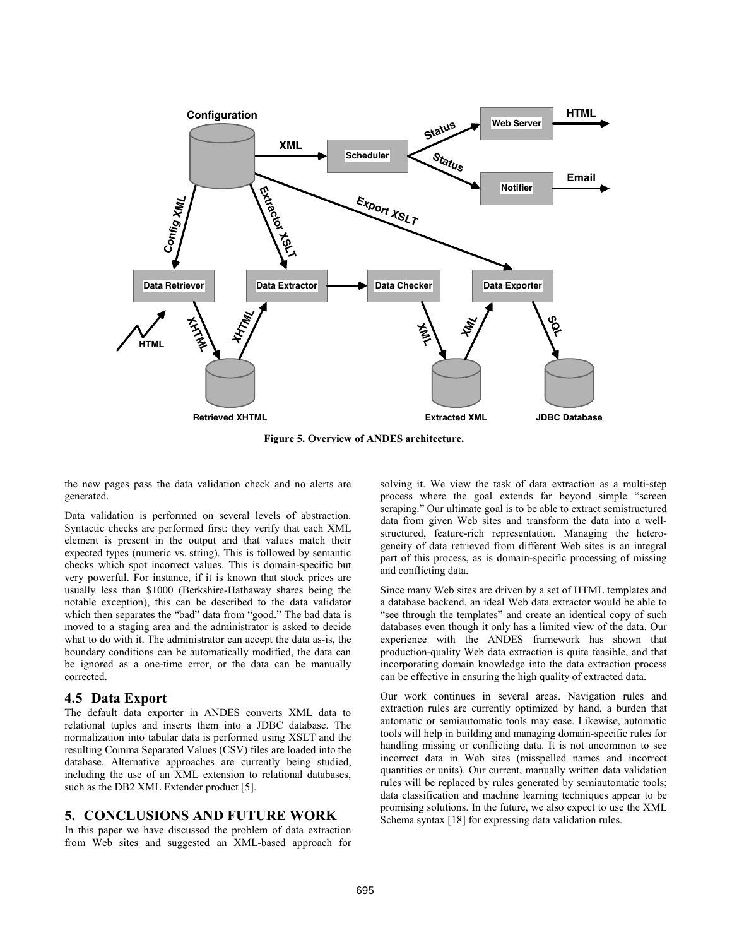

**Figure 5. Overview of ANDES architecture.** 

the new pages pass the data validation check and no alerts are generated.

Data validation is performed on several levels of abstraction. Syntactic checks are performed first: they verify that each XML element is present in the output and that values match their expected types (numeric vs. string). This is followed by semantic checks which spot incorrect values. This is domain-specific but very powerful. For instance, if it is known that stock prices are usually less than \$1000 (Berkshire-Hathaway shares being the notable exception), this can be described to the data validator which then separates the "bad" data from "good." The bad data is moved to a staging area and the administrator is asked to decide what to do with it. The administrator can accept the data as-is, the boundary conditions can be automatically modified, the data can be ignored as a one-time error, or the data can be manually corrected.

#### **4.5 Data Export**

The default data exporter in ANDES converts XML data to relational tuples and inserts them into a JDBC database. The normalization into tabular data is performed using XSLT and the resulting Comma Separated Values (CSV) files are loaded into the database. Alternative approaches are currently being studied, including the use of an XML extension to relational databases, such as the DB2 XML Extender product [5].

## **5. CONCLUSIONS AND FUTURE WORK**

In this paper we have discussed the problem of data extraction from Web sites and suggested an XML-based approach for solving it. We view the task of data extraction as a multi-step process where the goal extends far beyond simple "screen scraping." Our ultimate goal is to be able to extract semistructured data from given Web sites and transform the data into a wellstructured, feature-rich representation. Managing the heterogeneity of data retrieved from different Web sites is an integral part of this process, as is domain-specific processing of missing and conflicting data.

Since many Web sites are driven by a set of HTML templates and a database backend, an ideal Web data extractor would be able to "see through the templates" and create an identical copy of such databases even though it only has a limited view of the data. Our experience with the ANDES framework has shown that production-quality Web data extraction is quite feasible, and that incorporating domain knowledge into the data extraction process can be effective in ensuring the high quality of extracted data.

Our work continues in several areas. Navigation rules and extraction rules are currently optimized by hand, a burden that automatic or semiautomatic tools may ease. Likewise, automatic tools will help in building and managing domain-specific rules for handling missing or conflicting data. It is not uncommon to see incorrect data in Web sites (misspelled names and incorrect quantities or units). Our current, manually written data validation rules will be replaced by rules generated by semiautomatic tools; data classification and machine learning techniques appear to be promising solutions. In the future, we also expect to use the XML Schema syntax [18] for expressing data validation rules.